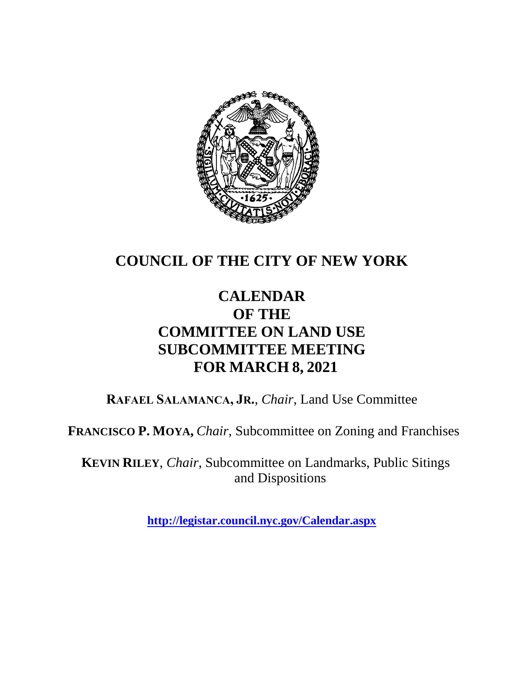

# **COUNCIL OF THE CITY OF NEW YORK**

## **CALENDAR OF THE COMMITTEE ON LAND USE SUBCOMMITTEE MEETING FOR MARCH 8, 2021**

**RAFAEL SALAMANCA, JR.**, *Chair*, Land Use Committee

**FRANCISCO P. MOYA,** *Chair,* Subcommittee on Zoning and Franchises

**KEVIN RILEY**, *Chair*, Subcommittee on Landmarks, Public Sitings and Dispositions

**<http://legistar.council.nyc.gov/Calendar.aspx>**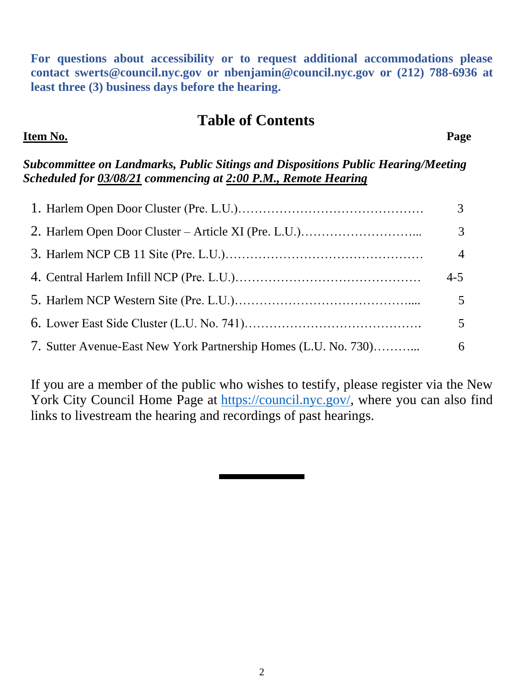**For questions about accessibility or to request additional accommodations please contact [swerts@council.nyc.gov](mailto:swerts@council.nyc.gov) or [nbenjamin@council.nyc.gov](mailto:nbenjamin@council.nyc.gov) or (212) 788-6936 at least three (3) business days before the hearing.**

#### **Table of Contents**

#### **Item No. Page**

*Subcommittee on Landmarks, Public Sitings and Dispositions Public Hearing/Meeting Scheduled for 03/08/21 commencing at 2:00 P.M., Remote Hearing*

|                                                                 | 3              |
|-----------------------------------------------------------------|----------------|
|                                                                 | $\mathfrak{Z}$ |
|                                                                 | $\overline{4}$ |
|                                                                 | $4 - 5$        |
|                                                                 | 5              |
|                                                                 | 5              |
| 7. Sutter Avenue-East New York Partnership Homes (L.U. No. 730) | 6              |

If you are a member of the public who wishes to testify, please register via the New York City Council Home Page at [https://council.nyc.gov/,](https://council.nyc.gov/) where you can also find links to livestream the hearing and recordings of past hearings.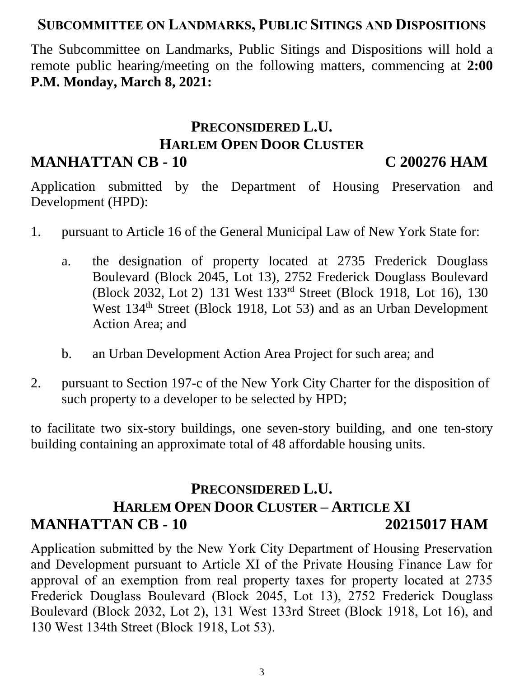#### **SUBCOMMITTEE ON LANDMARKS, PUBLIC SITINGS AND DISPOSITIONS**

The Subcommittee on Landmarks, Public Sitings and Dispositions will hold a remote public hearing/meeting on the following matters, commencing at **2:00 P.M. Monday, March 8, 2021:**

#### **PRECONSIDERED L.U. HARLEM OPEN DOOR CLUSTER MANHATTAN CB - 10 C 200276 HAM**

Application submitted by the Department of Housing Preservation and Development (HPD):

- 1. pursuant to Article 16 of the General Municipal Law of New York State for:
	- a. the designation of property located at 2735 Frederick Douglass Boulevard (Block 2045, Lot 13), 2752 Frederick Douglass Boulevard (Block 2032, Lot 2) 131 West 133rd Street (Block 1918, Lot 16), 130 West 134<sup>th</sup> Street (Block 1918, Lot 53) and as an Urban Development Action Area; and
	- b. an Urban Development Action Area Project for such area; and
- 2. pursuant to Section 197-c of the New York City Charter for the disposition of such property to a developer to be selected by HPD;

to facilitate two six-story buildings, one seven-story building, and one ten-story building containing an approximate total of 48 affordable housing units.

### **PRECONSIDERED L.U. HARLEM OPEN DOOR CLUSTER – ARTICLE XI MANHATTAN CB - 10 20215017 HAM**

Application submitted by the New York City Department of Housing Preservation and Development pursuant to Article XI of the Private Housing Finance Law for approval of an exemption from real property taxes for property located at 2735 Frederick Douglass Boulevard (Block 2045, Lot 13), 2752 Frederick Douglass Boulevard (Block 2032, Lot 2), 131 West 133rd Street (Block 1918, Lot 16), and 130 West 134th Street (Block 1918, Lot 53).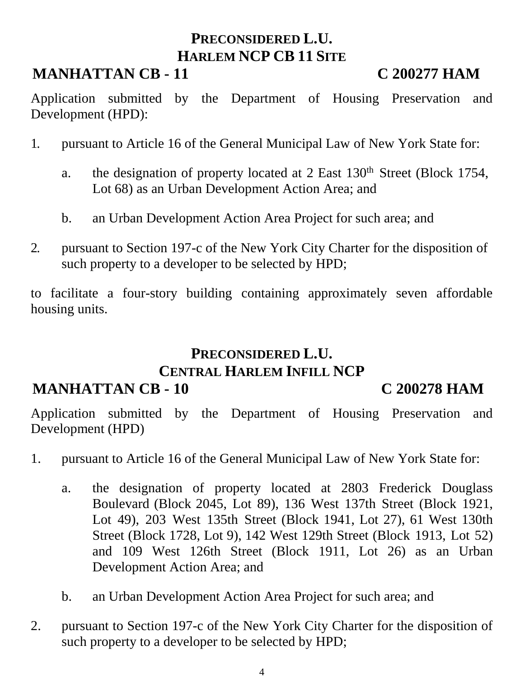## **PRECONSIDERED L.U. HARLEM NCP CB 11 SITE**

# **MANHATTAN CB - 11 C 200277 HAM**

Application submitted by the Department of Housing Preservation and Development (HPD):

- 1. pursuant to Article 16 of the General Municipal Law of New York State for:
	- a. the designation of property located at 2 East 130<sup>th</sup> Street (Block 1754, Lot 68) as an Urban Development Action Area; and
	- b. an Urban Development Action Area Project for such area; and
- 2. pursuant to Section 197-c of the New York City Charter for the disposition of such property to a developer to be selected by HPD;

to facilitate a four-story building containing approximately seven affordable housing units.

# **PRECONSIDERED L.U.**

### **CENTRAL HARLEM INFILL NCP**

#### **MANHATTAN CB - 10 C 200278 HAM**

Application submitted by the Department of Housing Preservation and Development (HPD)

- 1. pursuant to Article 16 of the General Municipal Law of New York State for:
	- a. the designation of property located at 2803 Frederick Douglass Boulevard (Block 2045, Lot 89), 136 West 137th Street (Block 1921, Lot 49), 203 West 135th Street (Block 1941, Lot 27), 61 West 130th Street (Block 1728, Lot 9), 142 West 129th Street (Block 1913, Lot 52) and 109 West 126th Street (Block 1911, Lot 26) as an Urban Development Action Area; and
	- b. an Urban Development Action Area Project for such area; and
- 2. pursuant to Section 197-c of the New York City Charter for the disposition of such property to a developer to be selected by HPD;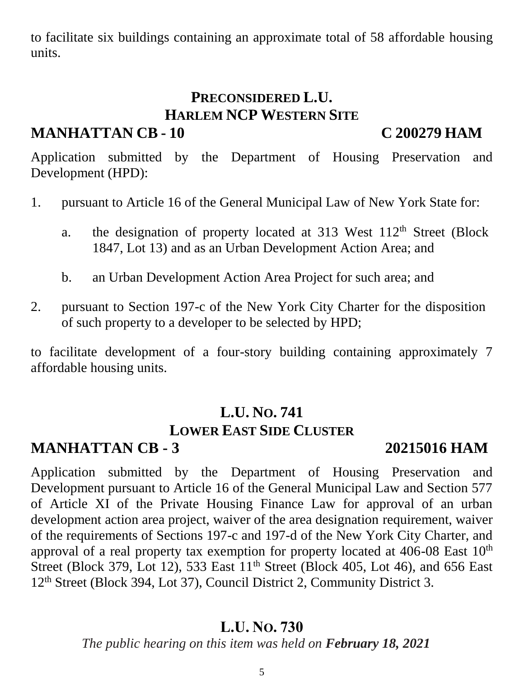to facilitate six buildings containing an approximate total of 58 affordable housing units.

# **PRECONSIDERED L.U. HARLEM NCP WESTERN SITE**

### **MANHATTAN CB - 10 C 200279 HAM**

Application submitted by the Department of Housing Preservation and Development (HPD):

- 1. pursuant to Article 16 of the General Municipal Law of New York State for:
	- a. the designation of property located at  $313$  West  $112<sup>th</sup>$  Street (Block 1847, Lot 13) and as an Urban Development Action Area; and
	- b. an Urban Development Action Area Project for such area; and
- 2. pursuant to Section 197-c of the New York City Charter for the disposition of such property to a developer to be selected by HPD;

to facilitate development of a four-story building containing approximately 7 affordable housing units.

# **L.U. NO. 741**

#### **LOWER EAST SIDE CLUSTER**

#### **MANHATTAN CB - 3 20215016 HAM**

Application submitted by the Department of Housing Preservation and Development pursuant to Article 16 of the General Municipal Law and Section 577 of Article XI of the Private Housing Finance Law for approval of an urban development action area project, waiver of the area designation requirement, waiver of the requirements of Sections 197-c and 197-d of the New York City Charter, and approval of a real property tax exemption for property located at 406-08 East 10<sup>th</sup> Street (Block 379, Lot 12), 533 East 11<sup>th</sup> Street (Block 405, Lot 46), and 656 East 12<sup>th</sup> Street (Block 394, Lot 37), Council District 2, Community District 3.

#### **L.U. NO. 730**

*The public hearing on this item was held on February 18, 2021*